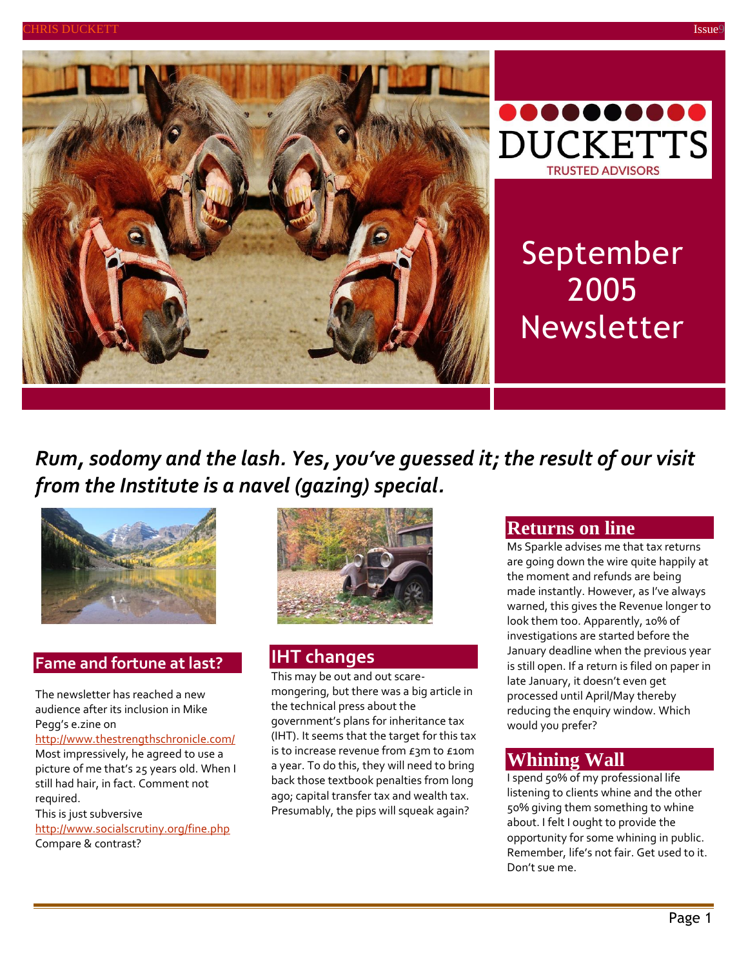



September 2005 Newsletter

# *Rum, sodomy and the lash. Yes, you've guessed it; the result of our visit from the Institute is a navel (gazing) special.*



#### **Fame and fortune at last?**

The newsletter has reached a new audience after its inclusion in Mike Pegg's e.zine on

#### <http://www.thestrengthschronicle.com/> Most impressively, he agreed to use a picture of me that's 25 years old. When I still had hair, in fact. Comment not

required. This is just subversive <http://www.socialscrutiny.org/fine.php> Compare & contrast?



### **IHT changes**

This may be out and out scaremongering, but there was a big article in the technical press about the government's plans for inheritance tax (IHT). It seems that the target for this tax is to increase revenue from £3m to £10m a year. To do this, they will need to bring back those textbook penalties from long ago; capital transfer tax and wealth tax. Presumably, the pips will squeak again?

#### **Returns on line**

Ms Sparkle advises me that tax returns are going down the wire quite happily at the moment and refunds are being made instantly. However, as I've always warned, this gives the Revenue longer to look them too. Apparently, 10% of investigations are started before the January deadline when the previous year is still open. If a return is filed on paper in late January, it doesn't even get processed until April/May thereby reducing the enquiry window. Which would you prefer?

### **Whining Wall**

I spend 50% of my professional life listening to clients whine and the other 50% giving them something to whine about. I felt I ought to provide the opportunity for some whining in public. Remember, life's not fair. Get used to it. Don't sue me.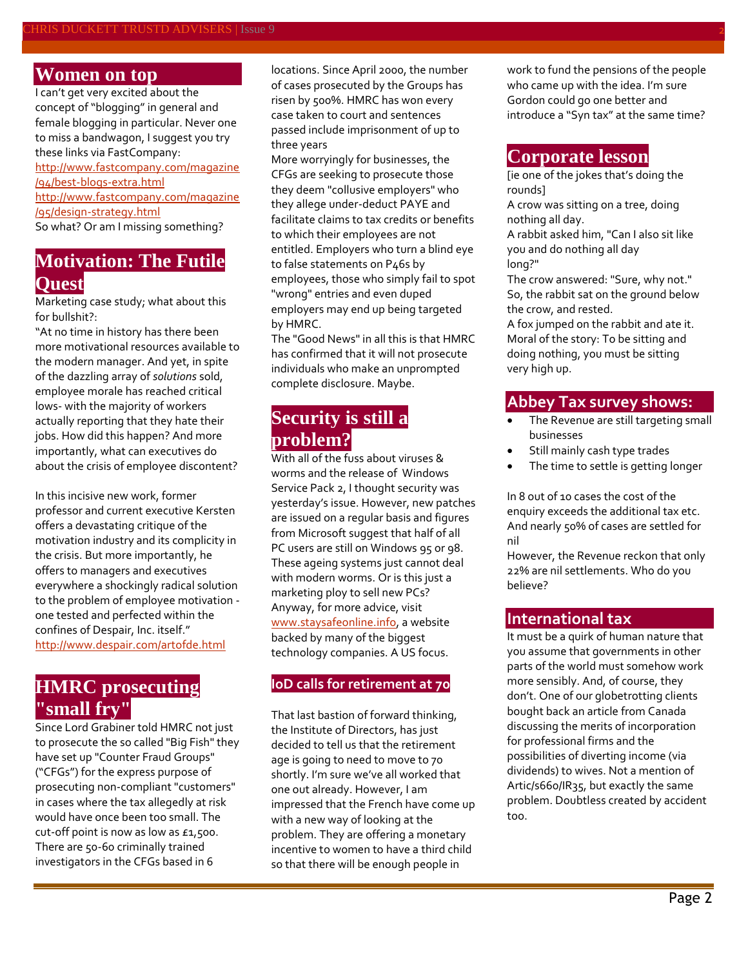### **Women on top**

I can't get very excited about the concept of "blogging" in general and female blogging in particular. Never one to miss a bandwagon, I suggest you try these links via FastCompany: [http://www.fastcompany.com/magazine](http://www.fastcompany.com/magazine/94/best-blogs-extra.html) [/94/best-blogs-extra.html](http://www.fastcompany.com/magazine/94/best-blogs-extra.html) [http://www.fastcompany.com/magazine](http://www.fastcompany.com/magazine/95/design-strategy.html) [/95/design-strategy.html](http://www.fastcompany.com/magazine/95/design-strategy.html) So what? Or am I missing something?

## **Motivation: The Futile Quest**

Marketing case study; what about this for bullshit?:

"At no time in history has there been more motivational resources available to the modern manager. And yet, in spite of the dazzling array of *solutions* sold, employee morale has reached critical lows- with the majority of workers actually reporting that they hate their jobs. How did this happen? And more importantly, what can executives do about the crisis of employee discontent?

In this incisive new work, former professor and current executive Kersten offers a devastating critique of the motivation industry and its complicity in the crisis. But more importantly, he offers to managers and executives everywhere a shockingly radical solution to the problem of employee motivation one tested and perfected within the confines of Despair, Inc. itself." <http://www.despair.com/artofde.html>

## **HMRC prosecuting "small fry"**

Since Lord Grabiner told HMRC not just to prosecute the so called "Big Fish" they have set up "Counter Fraud Groups" ("CFGs") for the express purpose of prosecuting non-compliant "customers" in cases where the tax allegedly at risk would have once been too small. The cut-off point is now as low as £1,500. There are 50-60 criminally trained investigators in the CFGs based in 6

locations. Since April 2000, the number of cases prosecuted by the Groups has risen by 500%. HMRC has won every case taken to court and sentences passed include imprisonment of up to three years

More worryingly for businesses, the CFGs are seeking to prosecute those they deem "collusive employers" who they allege under-deduct PAYE and facilitate claims to tax credits or benefits to which their employees are not entitled. Employers who turn a blind eye to false statements on P46s by employees, those who simply fail to spot "wrong" entries and even duped employers may end up being targeted by HMRC.

The "Good News" in all this is that HMRC has confirmed that it will not prosecute individuals who make an unprompted complete disclosure. Maybe.

## **Security is still a problem?**

With all of the fuss about viruses & worms and the release of Windows Service Pack 2, I thought security was yesterday's issue. However, new patches are issued on a regular basis and figures from Microsoft suggest that half of all PC users are still on Windows 95 or 98. These ageing systems just cannot deal with modern worms. Or is this just a marketing ploy to sell new PCs? Anyway, for more advice, visit [www.staysafeonline.info,](http://www.staysafeonline.info/) a website backed by many of the biggest technology companies. A US focus.

#### **IoD calls for retirement at 70**

That last bastion of forward thinking, the Institute of Directors, has just decided to tell us that the retirement age is going to need to move to 70 shortly. I'm sure we've all worked that one out already. However, I am impressed that the French have come up with a new way of looking at the problem. They are offering a monetary incentive to women to have a third child so that there will be enough people in

work to fund the pensions of the people who came up with the idea. I'm sure Gordon could go one better and introduce a "Syn tax" at the same time?

#### **Corporate lesson**

[ie one of the jokes that's doing the rounds]

A crow was sitting on a tree, doing nothing all day.

A rabbit asked him, "Can I also sit like you and do nothing all day long?"

The crow answered: "Sure, why not." So, the rabbit sat on the ground below the crow, and rested.

A fox jumped on the rabbit and ate it. Moral of the story: To be sitting and doing nothing, you must be sitting very high up.

#### **Abbey Tax survey shows:**

- The Revenue are still targeting small businesses
- Still mainly cash type trades
- The time to settle is getting longer

In 8 out of 10 cases the cost of the enquiry exceeds the additional tax etc. And nearly 50% of cases are settled for nil

However, the Revenue reckon that only 22% are nil settlements. Who do you believe?

#### **International tax**

It must be a quirk of human nature that you assume that governments in other parts of the world must somehow work more sensibly. And, of course, they don't. One of our globetrotting clients bought back an article from Canada discussing the merits of incorporation for professional firms and the possibilities of diverting income (via dividends) to wives. Not a mention of Artic/s660/IR35, but exactly the same problem. Doubtless created by accident too.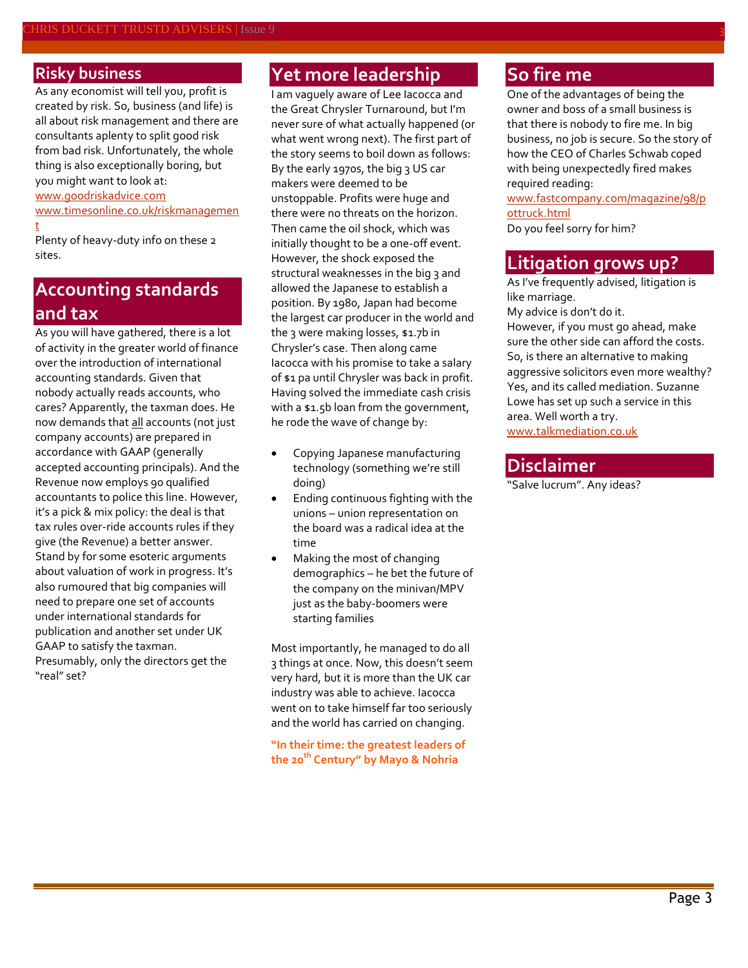#### **Risky business**

As any economist will tell you, profit is created by risk. So, business (and life) is all about risk management and there are consultants aplenty to split good risk from bad risk. Unfortunately, the whole thing is also exceptionally boring, but you might want to look at:

#### [www.goodriskadvice.com](http://www.goodriskadvice.com/)

[www.timesonline.co.uk/riskmanagemen](http://www.timesonline.co.uk/riskmanagement) [t](http://www.timesonline.co.uk/riskmanagement)

Plenty of heavy-duty info on these 2 sites.

## **Accounting standards and tax**

As you will have gathered, there is a lot of activity in the greater world of finance over the introduction of international accounting standards. Given that nobody actually reads accounts, who cares? Apparently, the taxman does. He now demands that all accounts (not just company accounts) are prepared in accordance with GAAP (generally accepted accounting principals). And the Revenue now employs 90 qualified accountants to police this line. However, it's a pick & mix policy: the deal is that tax rules over-ride accounts rules if they give (the Revenue) a better answer. Stand by for some esoteric arguments about valuation of work in progress. It's also rumoured that big companies will need to prepare one set of accounts under international standards for publication and another set under UK GAAP to satisfy the taxman. Presumably, only the directors get the "real" set?

## **Yet more leadership**

I am vaguely aware of Lee Iacocca and the Great Chrysler Turnaround, but I'm never sure of what actually happened (or what went wrong next). The first part of the story seems to boil down as follows: By the early 1970s, the big 3 US car makers were deemed to be unstoppable. Profits were huge and there were no threats on the horizon. Then came the oil shock, which was initially thought to be a one-off event. However, the shock exposed the structural weaknesses in the big 3 and allowed the Japanese to establish a position. By 1980, Japan had become the largest car producer in the world and the 3 were making losses, \$1.7b in Chrysler's case. Then along came Iacocca with his promise to take a salary of \$1 pa until Chrysler was back in profit. Having solved the immediate cash crisis with a \$1.5b loan from the government, he rode the wave of change by:

- Copying Japanese manufacturing technology (something we're still doing)
- Ending continuous fighting with the unions – union representation on the board was a radical idea at the time
- Making the most of changing demographics – he bet the future of the company on the minivan/MPV just as the baby-boomers were starting families

Most importantly, he managed to do all 3 things at once. Now, this doesn't seem very hard, but it is more than the UK car industry was able to achieve. Iacocca went on to take himself far too seriously and the world has carried on changing.

**"In their time: the greatest leaders of the 20th Century" by Mayo & Nohria**

## **So fire me**

One of the advantages of being the owner and boss of a small business is that there is nobody to fire me. In big business, no job is secure. So the story of how the CEO of Charles Schwab coped with being unexpectedly fired makes required reading:

[www.fastcompany.com/magazine/98/p](http://www.fastcompany.com/magazine/98/pottruck.html) [ottruck.html](http://www.fastcompany.com/magazine/98/pottruck.html)

Do you feel sorry for him?

### **Litigation grows up?**

As I've frequently advised, litigation is like marriage.

My advice is don't do it.

However, if you must go ahead, make sure the other side can afford the costs. So, is there an alternative to making aggressive solicitors even more wealthy? Yes, and its called mediation. Suzanne Lowe has set up such a service in this area. Well worth a try. [www.talkmediation.co.uk](http://www.talkmediation.co.uk/)

#### **Disclaimer**

"Salve lucrum". Any ideas?